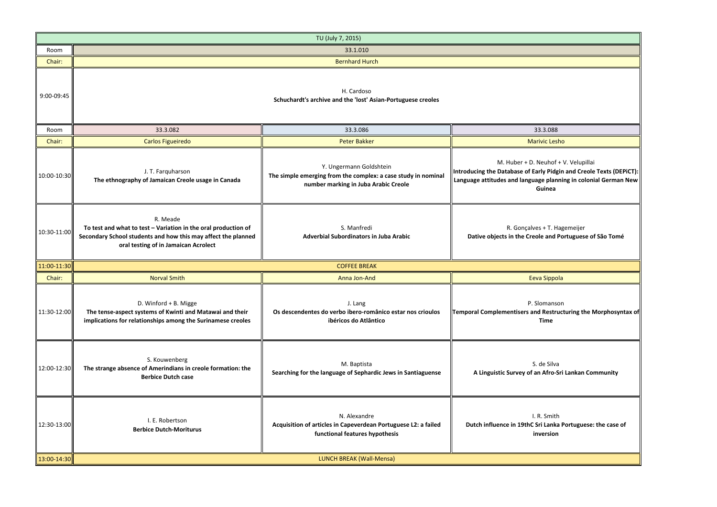|                 | TU (July 7, 2015)                                                                                                                                                                   |                                                                                                                                  |                                                                                                                                                                                          |  |
|-----------------|-------------------------------------------------------------------------------------------------------------------------------------------------------------------------------------|----------------------------------------------------------------------------------------------------------------------------------|------------------------------------------------------------------------------------------------------------------------------------------------------------------------------------------|--|
| Room            | 33.1.010                                                                                                                                                                            |                                                                                                                                  |                                                                                                                                                                                          |  |
| Chair:          |                                                                                                                                                                                     | <b>Bernhard Hurch</b>                                                                                                            |                                                                                                                                                                                          |  |
| 9:00-09:45      | H. Cardoso<br>Schuchardt's archive and the 'lost' Asian-Portuguese creoles                                                                                                          |                                                                                                                                  |                                                                                                                                                                                          |  |
| Room            | 33.3.082                                                                                                                                                                            | 33.3.086                                                                                                                         | 33.3.088                                                                                                                                                                                 |  |
| Chair:          | Carlos Figueiredo                                                                                                                                                                   | <b>Peter Bakker</b>                                                                                                              | <b>Marivic Lesho</b>                                                                                                                                                                     |  |
| 10:00-10:30     | J. T. Farquharson<br>The ethnography of Jamaican Creole usage in Canada                                                                                                             | Y. Ungermann Goldshtein<br>The simple emerging from the complex: a case study in nominal<br>number marking in Juba Arabic Creole | M. Huber + D. Neuhof + V. Velupillai<br>Introducing the Database of Early Pidgin and Creole Texts (DEPiCT):<br>Language attitudes and language planning in colonial German New<br>Guinea |  |
| 10:30-11:00     | R. Meade<br>To test and what to test - Variation in the oral production of<br>Secondary School students and how this may affect the planned<br>oral testing of in Jamaican Acrolect | S. Manfredi<br><b>Adverbial Subordinators in Juba Arabic</b>                                                                     | R. Gonçalves + T. Hagemeijer<br>Dative objects in the Creole and Portuguese of São Tomé                                                                                                  |  |
| $11:00 - 11:30$ |                                                                                                                                                                                     | <b>COFFEE BREAK</b>                                                                                                              |                                                                                                                                                                                          |  |
| Chair:          | <b>Norval Smith</b>                                                                                                                                                                 | Anna Jon-And                                                                                                                     | Eeva Sippola                                                                                                                                                                             |  |
| 11:30-12:00     | D. Winford + B. Migge<br>The tense-aspect systems of Kwinti and Matawai and their<br>implications for relationships among the Surinamese creoles                                    | J. Lang<br>Os descendentes do verbo ibero-românico estar nos crioulos<br>ibéricos do Atlântico                                   | P. Slomanson<br>Temporal Complementisers and Restructuring the Morphosyntax of<br><b>Time</b>                                                                                            |  |
| 12:00-12:30     | S. Kouwenberg<br>The strange absence of Amerindians in creole formation: the<br><b>Berbice Dutch case</b>                                                                           | M. Baptista<br>Searching for the language of Sephardic Jews in Santiaguense                                                      | S. de Silva<br>A Linguistic Survey of an Afro-Sri Lankan Community                                                                                                                       |  |
| 12:30-13:00     | I. E. Robertson<br><b>Berbice Dutch-Moriturus</b>                                                                                                                                   | N. Alexandre<br>Acquisition of articles in Capeverdean Portuguese L2: a failed<br>functional features hypothesis                 | I. R. Smith<br>Dutch influence in 19thC Sri Lanka Portuguese: the case of<br>inversion                                                                                                   |  |
| 13:00-14:30     |                                                                                                                                                                                     | LUNCH BREAK (Wall-Mensa)                                                                                                         |                                                                                                                                                                                          |  |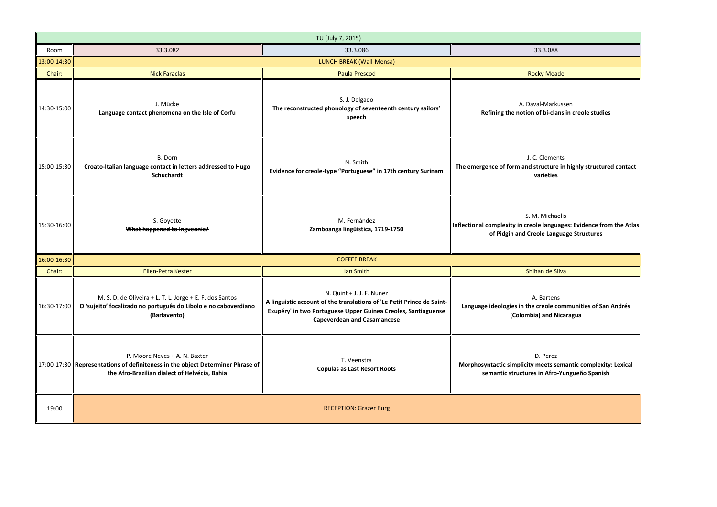**The Emergence of the increase in highly structure in highly struct in the structure in highly structured in the structure in high structure in the structure in highly structure in high structure in the structure in the st varieties**

**Inguages: Evidence from the Atlas le Language Structures** 

Bartens **Langua** communities of San Andrés **(Colombia) and Nicaragua**

**Morphost semantic complexity: Lexical semantic structures in Afro-Yungueño Spanish**

| TU (July 7, 2015) |                                                                                                                                                                       |                                                                                                                                                                                                            |                                                                                                      |
|-------------------|-----------------------------------------------------------------------------------------------------------------------------------------------------------------------|------------------------------------------------------------------------------------------------------------------------------------------------------------------------------------------------------------|------------------------------------------------------------------------------------------------------|
| Room              | 33.3.082                                                                                                                                                              | 33.3.086                                                                                                                                                                                                   | 33.3.088                                                                                             |
| 13:00-14:30       | LUNCH BREAK (Wall-Mensa)                                                                                                                                              |                                                                                                                                                                                                            |                                                                                                      |
| Chair:            | <b>Nick Faraclas</b>                                                                                                                                                  | <b>Paula Prescod</b>                                                                                                                                                                                       | <b>Rocky Meade</b>                                                                                   |
| 14:30-15:00       | J. Mücke<br>Language contact phenomena on the Isle of Corfu                                                                                                           | S. J. Delgado<br>The reconstructed phonology of seventeenth century sailors'<br>speech                                                                                                                     | A. Daval-Markussen<br>Refining the notion of bi-clans in cr                                          |
| 15:00-15:30       | B. Dorn<br>Croato-Italian language contact in letters addressed to Hugo<br>Schuchardt                                                                                 | N. Smith<br>Evidence for creole-type "Portuguese" in 17th century Surinam                                                                                                                                  | J. C. Clements<br>The emergence of form and structure in high<br>varieties                           |
| 15:30-16:00       | S. Goyette<br>What happened to Ingveonic?                                                                                                                             | M. Fernández<br>Zamboanga lingüística, 1719-1750                                                                                                                                                           | S. M. Michaelis<br>Inflectional complexity in creole languages: E<br>of Pidgin and Creole Language S |
| 16:00-16:30       | <b>COFFEE BREAK</b>                                                                                                                                                   |                                                                                                                                                                                                            |                                                                                                      |
| Chair:            | Ellen-Petra Kester                                                                                                                                                    | lan Smith                                                                                                                                                                                                  | Shihan de Silva                                                                                      |
| 16:30-17:00       | M. S. D. de Oliveira + L. T. L. Jorge + E. F. dos Santos<br>O 'sujeito' focalizado no português do Libolo e no caboverdiano<br>(Barlavento)                           | N. Quint + J. J. F. Nunez<br>A linguistic account of the translations of 'Le Petit Prince de Saint-<br>Exupéry' in two Portuguese Upper Guinea Creoles, Santiaguense<br><b>Capeverdean and Casamancese</b> | A. Bartens<br>Language ideologies in the creole commun<br>(Colombia) and Nicaragu                    |
|                   | P. Moore Neves + A. N. Baxter<br>   17:00-17:30   Representations of definiteness in the object Determiner Phrase of<br>the Afro-Brazilian dialect of Helvécia, Bahia | T. Veenstra<br><b>Copulas as Last Resort Roots</b>                                                                                                                                                         | D. Perez<br>Morphosyntactic simplicity meets semantion<br>semantic structures in Afro-Yungue         |
| 19:00             |                                                                                                                                                                       | <b>RECEPTION: Grazer Burg</b>                                                                                                                                                                              |                                                                                                      |

-Markussen **bi-clans in creole studies**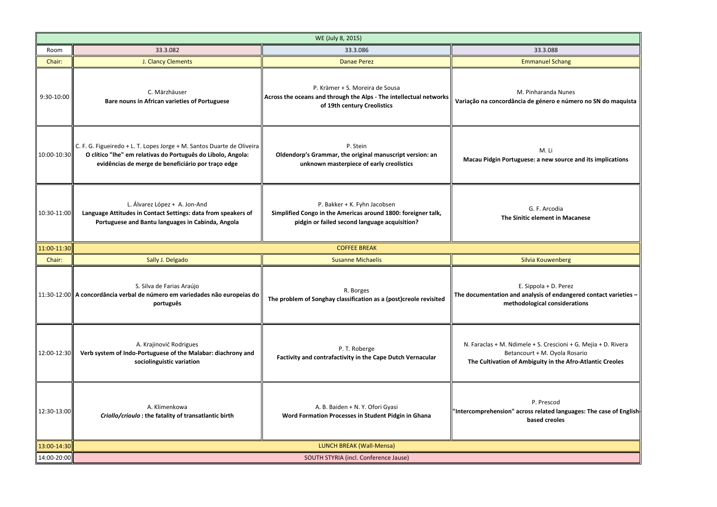M. Li **Macau Source and its implications** 

**Variação na concordância de género e número no SN do maquista**

. Arcodia **ment in Macanese** 

Ia + D. Perez **Is of endangered contact varieties – cal considerations** 

. Crescioni + G. Mejia + D. Rivera  $\cdot$  M. Oyola Rosario **The Cultivation of Ambiguity in the Afro-Atlantic Creoles**

Prescod **Elated languages: The case of English b**ed creoles

|             | WE (July 8, 2015)                                                                                                                                                                            |                                                                                                                                                |                                                                                                             |
|-------------|----------------------------------------------------------------------------------------------------------------------------------------------------------------------------------------------|------------------------------------------------------------------------------------------------------------------------------------------------|-------------------------------------------------------------------------------------------------------------|
| Room        | 33.3.082                                                                                                                                                                                     | 33.3.086                                                                                                                                       | 33.3.088                                                                                                    |
| Chair:      | J. Clancy Clements                                                                                                                                                                           | <b>Danae Perez</b>                                                                                                                             | <b>Emmanuel Schang</b>                                                                                      |
| 9:30-10:00  | C. Märzhäuser<br>Bare nouns in African varieties of Portuguese                                                                                                                               | P. Krämer + S. Moreira de Sousa<br>Across the oceans and through the Alps - The intellectual networks<br>of 19th century Creolistics           | M. Pinharanda Nune<br>Variação na concordância de género e núr                                              |
| 10:00-10:30 | C. F. G. Figueiredo + L. T. Lopes Jorge + M. Santos Duarte de Oliveira<br>O clítico "lhe" em relativas do Português do Libolo, Angola:<br>evidências de merge de beneficiário por traço edge | P. Stein<br>Oldendorp's Grammar, the original manuscript version: an<br>unknown masterpiece of early creolistics                               | M. Li<br>Macau Pidgin Portuguese: a new sourc                                                               |
| 10:30-11:00 | L. Álvarez López + A. Jon-And<br>Language Attitudes in Contact Settings: data from speakers of<br>Portuguese and Bantu languages in Cabinda, Angola                                          | P. Bakker + K. Fyhn Jacobsen<br>Simplified Congo in the Americas around 1800: foreigner talk,<br>pidgin or failed second language acquisition? | G. F. Arcodia<br>The Sinitic element in Ma                                                                  |
| 11:00-11:30 |                                                                                                                                                                                              | <b>COFFEE BREAK</b>                                                                                                                            |                                                                                                             |
| Chair:      | Sally J. Delgado                                                                                                                                                                             | <b>Susanne Michaelis</b>                                                                                                                       | Silvia Kouwenberg                                                                                           |
|             | S. Silva de Farias Araújo<br>$\ $ 11:30-12:00 A concordância verbal de número em variedades não europeias do<br>português                                                                    | R. Borges<br>The problem of Songhay classification as a (post)creole revisited                                                                 | E. Sippola + D. Pere<br>The documentation and analysis of endang<br>methodological consider                 |
| 12:00-12:30 | A. Krajinović Rodrigues<br>Verb system of Indo-Portuguese of the Malabar: diachrony and<br>sociolinguistic variation                                                                         | P. T. Roberge<br>Factivity and contrafactivity in the Cape Dutch Vernacular                                                                    | N. Faraclas + M. Ndimele + S. Crescioni<br>Betancourt + M. Oyola R<br>The Cultivation of Ambiguity in the A |
| 12:30-13:00 | A. Klimenkowa<br>Criollo/crioulo: the fatality of transatlantic birth                                                                                                                        | A. B. Baiden + N. Y. Ofori Gyasi<br>Word Formation Processes in Student Pidgin in Ghana                                                        | P. Prescod<br>'Intercomprehension" across related langu<br>based creoles                                    |
| 13:00-14:30 | LUNCH BREAK (Wall-Mensa)                                                                                                                                                                     |                                                                                                                                                |                                                                                                             |
| 14:00-20:00 | SOUTH STYRIA (incl. Conference Jause)                                                                                                                                                        |                                                                                                                                                |                                                                                                             |

aranda Nunes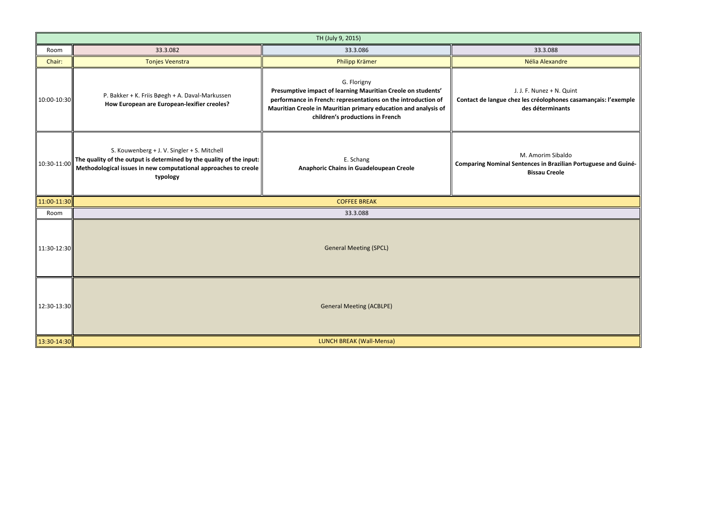|             | TH (July 9, 2015)                                                                                                                                                                                  |                                                                                                                                                                                                                                                     |                                                                                            |
|-------------|----------------------------------------------------------------------------------------------------------------------------------------------------------------------------------------------------|-----------------------------------------------------------------------------------------------------------------------------------------------------------------------------------------------------------------------------------------------------|--------------------------------------------------------------------------------------------|
| Room        | 33.3.082                                                                                                                                                                                           | 33.3.086                                                                                                                                                                                                                                            | 33.3.088                                                                                   |
| Chair:      | <b>Tonjes Veenstra</b>                                                                                                                                                                             | Philipp Krämer                                                                                                                                                                                                                                      | Nélia Alexandre                                                                            |
| 10:00-10:30 | P. Bakker + K. Friis Bøegh + A. Daval-Markussen<br>How European are European-lexifier creoles?                                                                                                     | G. Florigny<br>Presumptive impact of learning Mauritian Creole on students'<br>performance in French: representations on the introduction of<br>Mauritian Creole in Mauritian primary education and analysis of<br>children's productions in French | J. J. F. Nunez + N. Q<br>Contact de langue chez les créolophones<br>des déterminant        |
| 10:30-11:00 | S. Kouwenberg + J. V. Singler + S. Mitchell<br>The quality of the output is determined by the quality of the input:<br>Methodological issues in new computational approaches to creole<br>typology | E. Schang<br><b>Anaphoric Chains in Guadeloupean Creole</b>                                                                                                                                                                                         | M. Amorim Sibald<br><b>Comparing Nominal Sentences in Brazilia</b><br><b>Bissau Creole</b> |
| 11:00-11:30 |                                                                                                                                                                                                    | <b>COFFEE BREAK</b>                                                                                                                                                                                                                                 |                                                                                            |
| Room        |                                                                                                                                                                                                    | 33.3.088                                                                                                                                                                                                                                            |                                                                                            |
| 11:30-12:30 | <b>General Meeting (SPCL)</b>                                                                                                                                                                      |                                                                                                                                                                                                                                                     |                                                                                            |
| 12:30-13:30 | <b>General Meeting (ACBLPE)</b>                                                                                                                                                                    |                                                                                                                                                                                                                                                     |                                                                                            |
| 13:30-14:30 |                                                                                                                                                                                                    | LUNCH BREAK (Wall-Mensa)                                                                                                                                                                                                                            |                                                                                            |

nez + N. Quint **Contact de langue chez les créolophones casamançais: l'exemple**  terminants

rim Sibaldo in Brazilian Portuguese and Guiné**u Creole**